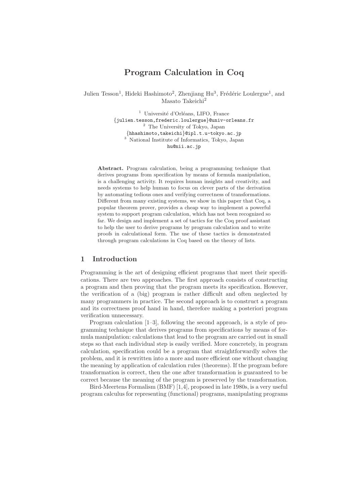# Program Calculation in Coq

Julien Tesson<sup>1</sup>, Hideki Hashimoto<sup>2</sup>, Zhenjiang Hu<sup>3</sup>, Frédéric Loulergue<sup>1</sup>, and Masato Takeichi<sup>2</sup>

> $<sup>1</sup>$  Université d'Orléans, LIFO, France</sup> {julien.tesson,frederic.loulergue}@univ-orleans.fr <sup>2</sup> The University of Tokyo, Japan {hhashimoto,takeichi}@ipl.t.u-tokyo.ac.jp <sup>3</sup> National Institute of Informatics, Tokyo, Japan hu@nii.ac.jp

Abstract. Program calculation, being a programming technique that derives programs from specification by means of formula manipulation, is a challenging activity. It requires human insights and creativity, and needs systems to help human to focus on clever parts of the derivation by automating tedious ones and verifying correctness of transformations. Different from many existing systems, we show in this paper that Coq, a popular theorem prover, provides a cheap way to implement a powerful system to support program calculation, which has not been recognized so far. We design and implement a set of tactics for the Coq proof assistant to help the user to derive programs by program calculation and to write proofs in calculational form. The use of these tactics is demonstrated through program calculations in Coq based on the theory of lists.

## 1 Introduction

Programming is the art of designing efficient programs that meet their specifications. There are two approaches. The first approach consists of constructing a program and then proving that the program meets its specification. However, the verification of a (big) program is rather difficult and often neglected by many programmers in practice. The second approach is to construct a program and its correctness proof hand in hand, therefore making a posteriori program verification unnecessary.

Program calculation [1–3], following the second approach, is a style of programming technique that derives programs from specifications by means of formula manipulation: calculations that lead to the program are carried out in small steps so that each individual step is easily verified. More concretely, in program calculation, specification could be a program that straightforwardly solves the problem, and it is rewritten into a more and more efficient one without changing the meaning by application of calculation rules (theorems). If the program before transformation is correct, then the one after transformation is guaranteed to be correct because the meaning of the program is preserved by the transformation.

Bird-Meertens Formalism (BMF) [1,4], proposed in late 1980s, is a very useful program calculus for representing (functional) programs, manipulating programs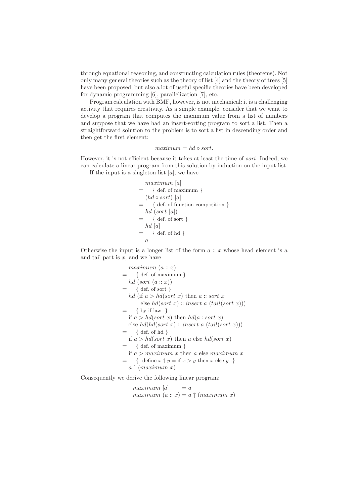through equational reasoning, and constructing calculation rules (theorems). Not only many general theories such as the theory of list [4] and the theory of trees [5] have been proposed, but also a lot of useful specific theories have been developed for dynamic programming [6], parallelization [7], etc.

Program calculation with BMF, however, is not mechanical: it is a challenging activity that requires creativity. As a simple example, consider that we want to develop a program that computes the maximum value from a list of numbers and suppose that we have had an insert-sorting program to sort a list. Then a straightforward solution to the problem is to sort a list in descending order and then get the first element:

$$
maximum = hd \circ sort.
$$

However, it is not efficient because it takes at least the time of sort. Indeed, we can calculate a linear program from this solution by induction on the input list.

If the input is a singleton list  $[a]$ , we have

$$
maximum [a]
$$
\n
$$
= \{ \text{def. of maximum } \}
$$
\n
$$
(hd \circ sort) [a]
$$
\n
$$
= \{ \text{def. of function composition } \}
$$
\n
$$
hd (sort [a])
$$
\n
$$
= \{ \text{def. of sort } \}
$$
\n
$$
hd [a]
$$
\n
$$
= \{ \text{def. of hd } \}
$$

Otherwise the input is a longer list of the form  $a :: x$  whose head element is a and tail part is  $x$ , and we have

$$
maximum (a:: x)
$$
\n
$$
= \{ \text{ def. of maximum } \}
$$
\n
$$
hd (sort (a:: x))
$$
\n
$$
= \{ \text{ def. of sort } \}
$$
\n
$$
hd (if a > hd (sort x) then a:: sort x
$$
\n
$$
else hd (sort x) :: insert a (tail (sort x)))
$$
\n
$$
= \{ \text{ by if law } \}
$$
\n
$$
if a > hd (sort x) then hd(a: sort x)
$$
\n
$$
else hd(hd (sort x) :: insert a (tail (sort x)))
$$
\n
$$
= \{ \text{ def. of } \}
$$
\n
$$
if a > hd (sort x) then a else hd (sort x)
$$
\n
$$
= \{ \text{ def. of maximum } \}
$$
\n
$$
if a > maximum x then a else maximum x
$$
\n
$$
= \{ \text{ define } x \uparrow y = \text{ if } x > y \text{ then } x \text{ else } y \}
$$
\n
$$
a \uparrow (maximum x)
$$

Consequently we derive the following linear program:

$$
maximum [a] = a
$$
  

$$
maximum (a::x) = a \uparrow (maximum x)
$$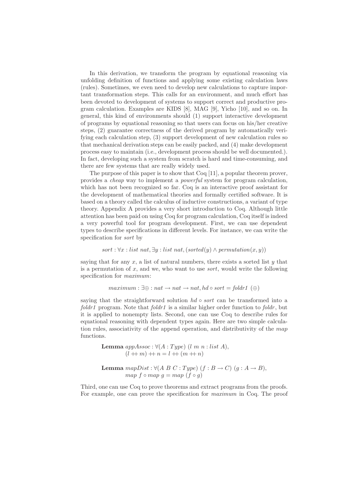In this derivation, we transform the program by equational reasoning via unfolding definition of functions and applying some existing calculation laws (rules). Sometimes, we even need to develop new calculations to capture important transformation steps. This calls for an environment, and much effort has been devoted to development of systems to support correct and productive program calculation. Examples are KIDS [8], MAG [9], Yicho [10], and so on. In general, this kind of environments should (1) support interactive development of programs by equational reasoning so that users can focus on his/her creative steps, (2) guarantee correctness of the derived program by automatically verifying each calculation step, (3) support development of new calculation rules so that mechanical derivation steps can be easily packed, and (4) make development process easy to maintain (i.e., development process should be well documented.). In fact, developing such a system from scratch is hard and time-consuming, and there are few systems that are really widely used.

The purpose of this paper is to show that Coq [11], a popular theorem prover, provides a cheap way to implement a powerful system for program calculation, which has not been recognized so far. Coq is an interactive proof assistant for the development of mathematical theories and formally certified software. It is based on a theory called the calculus of inductive constructions, a variant of type theory. Appendix A provides a very short introduction to Coq. Although little attention has been paid on using Coq for program calculation, Coq itself is indeed a very powerful tool for program development. First, we can use dependent types to describe specifications in different levels. For instance, we can write the specification for *sort* by

$$
sort: \forall x: list \; nat, \exists y: list \;nat, (sorted(y) \land permutation(x, y))
$$

saying that for any  $x$ , a list of natural numbers, there exists a sorted list  $y$  that is a permutation of  $x$ , and we, who want to use *sort*, would write the following specification for *maximum*:

$$
maximum: \exists \oplus : nat \rightarrow nat \rightarrow nat, hd \circ sort = foldr1 \ (\oplus)
$$

saying that the straightforward solution  $hd \circ sort$  can be transformed into a  $foldr1$  program. Note that  $foldr1$  is a similar higher order function to  $foldr$ , but it is applied to nonempty lists. Second, one can use Coq to describe rules for equational reasoning with dependent types again. Here are two simple calculation rules, associativity of the append operation, and distributivity of the map functions.

```
Lemma appAssoc : \forall (A : Type) (l m n : list A),
         (l + m) + n = l + (m + n)
```

```
Lemma mapDist : \forall (A \ B \ C : Type) \ (f : B \rightarrow C) \ (g : A \rightarrow B),map f \circ map g = map (f \circ g)
```
Third, one can use Coq to prove theorems and extract programs from the proofs. For example, one can prove the specification for maximum in Coq. The proof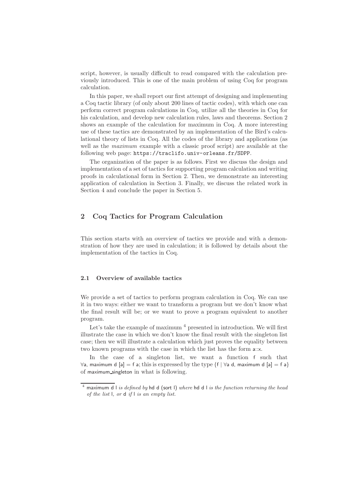script, however, is usually difficult to read compared with the calculation previously introduced. This is one of the main problem of using Coq for program calculation.

In this paper, we shall report our first attempt of designing and implementing a Coq tactic library (of only about 200 lines of tactic codes), with which one can perform correct program calculations in Coq, utilize all the theories in Coq for his calculation, and develop new calculation rules, laws and theorems. Section 2 shows an example of the calculation for maximum in Coq. A more interesting use of these tactics are demonstrated by an implementation of the Bird's calculational theory of lists in Coq. All the codes of the library and applications (as well as the *maximum* example with a classic proof script) are available at the following web page: https://traclifo.univ-orleans.fr/SDPP.

The organization of the paper is as follows. First we discuss the design and implementation of a set of tactics for supporting program calculation and writing proofs in calculational form in Section 2. Then, we demonstrate an interesting application of calculation in Section 3. Finally, we discuss the related work in Section 4 and conclude the paper in Section 5.

## 2 Coq Tactics for Program Calculation

This section starts with an overview of tactics we provide and with a demonstration of how they are used in calculation; it is followed by details about the implementation of the tactics in Coq.

### 2.1 Overview of available tactics

We provide a set of tactics to perform program calculation in Coq. We can use it in two ways: either we want to transform a program but we don't know what the final result will be; or we want to prove a program equivalent to another program.

Let's take the example of maximum  $4$  presented in introduction. We will first illustrate the case in which we don't know the final result with the singleton list case; then we will illustrate a calculation which just proves the equality between two known programs with the case in which the list has the form a::x.

In the case of a singleton list, we want a function f such that  $\forall$ a, maximum d [a] = f a; this is expressed by the type {f |  $\forall$ a d, maximum d [a] = f a} of maximum singleton in what is following.

 $4$  maximum d l is defined by hd d (sort I) where hd d l is the function returning the head of the list l, or d if l is an empty list.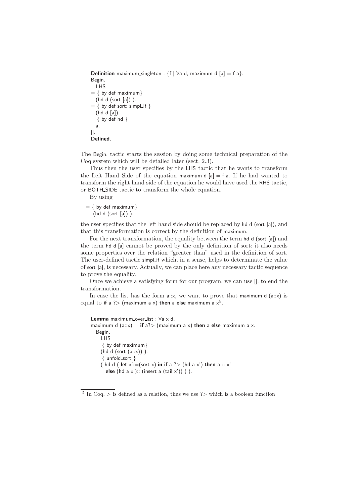**Definition** maximum singleton :  $\{f \mid \forall a \ d$ , maximum d  $[a] = f a\}$ . Begin. LHS  $=$  { by def maximum} (hd d (sort [a]) ).  $=$  { by def sort; simpl\_if }  $(hd d [a]).$  $=$  { by def hd } a.  $\prod$ . **Defined** 

The Begin. tactic starts the session by doing some technical preparation of the Coq system which will be detailed later (sect. 2.3).

Thus then the user specifies by the LHS tactic that he wants to transform the Left Hand Side of the equation maximum d  $[a] = f a$ . If he had wanted to transform the right hand side of the equation he would have used the RHS tactic, or BOTH SIDE tactic to transform the whole equation.

By using

 $=$  { by def maximum} (hd d (sort [a]) ).

the user specifies that the left hand side should be replaced by hd d (sort [a]), and that this transformation is correct by the definition of maximum.

For the next transformation, the equality between the term hd d (sort [a]) and the term hd d [a] cannot be proved by the only definition of sort: it also needs some properties over the relation "greater than" used in the definition of sort. The user-defined tactic simpl if which, in a sense, helps to determinate the value of sort [a], is necessary. Actually, we can place here any necessary tactic sequence to prove the equality.

Once we achieve a satisfying form for our program, we can use []. to end the transformation.

In case the list has the form  $a::x$ , we want to prove that maximum d  $(a::x)$  is equal to if a ?> (maximum a x) then a else maximum a  $x^5$ .

```
Lemma maximum over list : ∀a x d,
maximum d (a::x) = if a? > (maximum a x) then a else maximum a x.Begin.
    LHS
  = { by def maximum}
    (hd d (sort (a::x)) ).
  = { unfold_sort }
    ( hd d ( let x' := (sort x) in if a ? > (hd a x') then a :: x'
      else (hd a x'):: (insert a (tail x')))).
```
 $5$  In Coq,  $>$  is defined as a relation, thus we use  $?$  which is a boolean function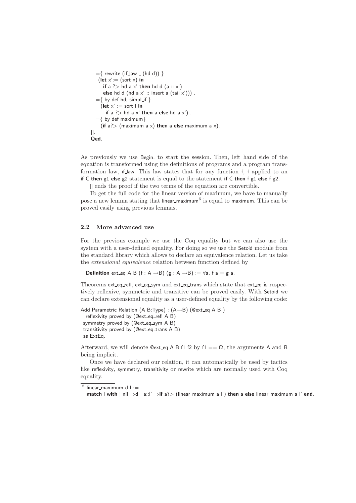```
=\{ rewrite (if law ( (hd d)) \}(let x' := (sort x) in
     if a ? > hd a x' then hd d (a :: x')else hd d (hd a x' :: insert a (tail x'))).
  ={ bv def hd; simpl_if }
    (let x' := sort \mathsf{l} in
      if a ? hd a x' then a else hd a x').
  ={ by def maximum}
    (if a?> (maximum a x) then a else maximum a x).
\prod.
Qed.
```
As previously we use Begin. to start the session. Then, left hand side of the equation is transformed using the definitions of programs and a program transformation law, if law. This law states that for any function f, f applied to an if C then g1 else g2 statement is equal to the statement if C then f g1 else f g2.

[] ends the proof if the two terms of the equation are convertible.

To get the full code for the linear version of maximum, we have to manually pose a new lemma stating that linear maximum<sup>6</sup> is equal to maximum. This can be proved easily using previous lemmas.

### 2.2 More advanced use

For the previous example we use the Coq equality but we can also use the system with a user-defined equality. For doing so we use the Setoid module from the standard library which allows to declare an equivalence relation. Let us take the extensional equivalence relation between function defined by

**Definition** ext eq A B (f : A  $\rightarrow$ B) (g : A  $\rightarrow$ B) :=  $\forall$ a, f a = g a.

Theorems ext\_eq\_refl, ext\_eq\_sym and ext\_eq\_trans which state that ext\_eq is respectively reflexive, symmetric and transitive can be proved easily. With Setoid we can declare extensional equality as a user-defined equality by the following code:

```
Add Parametric Relation (A B:Type) : (A→B) (@ext_eq A B)
 reflexivity proved by (@ext_eq_refl A B)
symmetry proved by (@ext_eq_sym A B)
transitivity proved by (@ext_eq_trans A B)
as ExtEq.
```
Afterward, we will denote  $Qext{eq}$  A B f1 f2 by f1 = f2, the arguments A and B being implicit.

Once we have declared our relation, it can automatically be used by tactics like reflexivity, symmetry, transitivity or rewrite which are normally used with Coq equality.

 $^6$  linear maximum d l :=

match | with  $|$  nil  $\Rightarrow$ d  $|$  a::l'  $\Rightarrow$ if a?> (linear\_maximum a l') then a else linear\_maximum a l' end.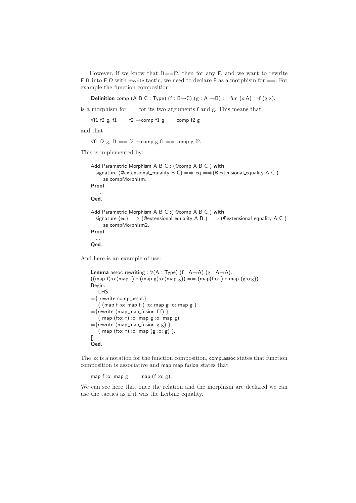However, if we know that  $f1 = -f2$ , then for any F, and we want to rewrite F f1 into F f2 with rewrite tactic, we need to declare F as a morphism for  $==$ . For example the function composition

**Definition** comp (A B C : Type)  $(f : B \rightarrow C)$  (g : A  $\rightarrow B$ ) := fun (x:A)  $\Rightarrow$  f (g x),

is a morphism for  $==$  for its two arguments f and  $g$ . This means that

 $\forall$ f1 f2 g, f1 == f2 →comp f1 g == comp f2 g

and that

 $\forall$ f1 f2 g, f1 == f2 →comp g f1 == comp g f2.

This is implemented by:

```
Add Parametric Morphism A B C : (@comp A B C ) with
  signature (@extensional_equality B C) = \Rightarrow eq = \Rightarrow (@extensional_equality A C)
     as compMorphism.
Proof.
   ...
Qed.
Add Parametric Morphism A B C : ( @comp A B C ) with
  signature (eq) \Longrightarrow (@extensional_equality A B ) \Longrightarrow (@extensional_equality A C )
     as compMorphism2.
Proof.
```
... Qed.

And here is an example of use:

```
Lemma assoc_rewriting : \forall(A : Type) (f : A→A) (g : A→A),
((map f):o:(map f):o:(map g):o:(map g)) == (map (f:o:f):o:map (g:o:g)).Begin.
   LHS
={ rewrite comp assoc}
   ( (map f :o: map f ) :o: map g :o: map g ).
=\{rewrite (map_map_fusion f f) \}( map (f:o: f) :o: map g :o: map g).
=\{ rewrite (map_map_fusion g g) \}( map (f:o: f) :o: map (g :o: g) ).
\prod.
Qed.
```
The :o: is a notation for the function composition, comp assoc states that function composition is associative and map map fusion states that

map f :o: map  $g ==$  map (f :o: g).

We can see here that once the relation and the morphism are declared we can use the tactics as if it was the Leibniz equality.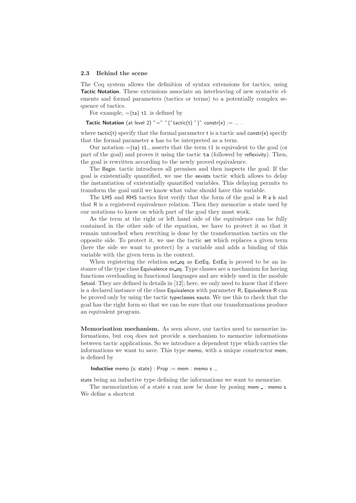#### 2.3 Behind the scene

The Coq system allows the definition of syntax extensions for tactics, using Tactic Notation. These extensions associate an interleaving of new syntactic elements and formal parameters (tactics or terms) to a potentially complex sequence of tactics.

For example,  $=\{ta\}$  t1. is defined by

**Tactic Notation** (at level 2) "=" "{"tactic(t) "}" constr(e)  $:= ...$ .

where tactic(t) specify that the formal parameter t is a tactic and constr(e) specify that the formal parameter e has to be interpreted as a term.

Our notation  $=\{t_a\}$  t1., asserts that the term t1 is equivalent to the goal (or part of the goal) and proves it using the tactic ta (followed by reflexivity). Then, the goal is rewritten according to the newly proved equivalence.

The Begin. tactic introduces all premises and then inspects the goal. If the goal is existentially quantified, we use the eexists tactic which allows to delay the instantiation of existentially quantified variables. This delaying permits to transform the goal until we know what value should have this variable.

The LHS and RHS tactics first verify that the form of the goal is R a b and that R is a registered equivalence relation. Then they memorize a state used by our notations to know on which part of the goal they must work.

As the term at the right or left hand side of the equivalence can be fully contained in the other side of the equation, we have to protect it so that it remain untouched when rewriting is done by the transformation tactics on the opposite side. To protect it, we use the tactic set which replaces a given term (here the side we want to protect) by a variable and adds a binding of this variable with the given term in the context.

When registering the relation ext eq as ExtEq, ExtEq is proved to be an instance of the type class Equivalence ex eq. Type classes are a mechanism for having functions overloading in functional languages and are widely used in the module Setoid. They are defined in details in [12]; here, we only need to know that if there is a declared instance of the class Equivalence with parameter R, Equivalence R can be proved only by using the tactic typeclasses eauto. We use this to check that the goal has the right form so that we can be sure that our transformations produce an equivalent program.

Memorisation mechanism. As seen above, our tactics need to memorize informations, but coq does not provide a mechanism to memorize informations between tactic applications. So we introduce a dependent type which carries the informations we want to save. This type memo, with a unique constructor mem, is defined by

**Inductive** memo (s: state) : Prop  $:=$  mem : memo s .,

state being an inductive type defining the informations we want to memorize.

The memorization of a state s can now be done by posing mem  $\overline{\ }$ : memo s. We define a shortcut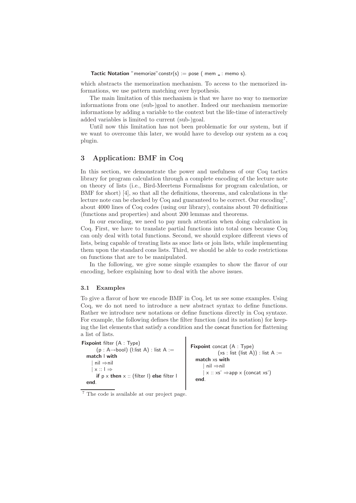**Tactic Notation** "memorize" constr(s) := pose ( mem  $\pm$  : memo s).

which abstracts the memorization mechanism. To access to the memorized informations, we use pattern matching over hypothesis.

The main limitation of this mechanism is that we have no way to memorize informations from one (sub-)goal to another. Indeed our mechanism memorize informations by adding a variable to the context but the life-time of interactively added variables is limited to current (sub-)goal.

Until now this limitation has not been problematic for our system, but if we want to overcome this later, we would have to develop our system as a coq plugin.

## 3 Application: BMF in Coq

In this section, we demonstrate the power and usefulness of our Coq tactics library for program calculation through a complete encoding of the lecture note on theory of lists (i.e., Bird-Meertens Formalisms for program calculation, or BMF for short) [4], so that all the definitions, theorems, and calculations in the lecture note can be checked by Coq and guaranteed to be correct. Our encoding<sup>7</sup>, about 4000 lines of Coq codes (using our library), contains about 70 definitions (functions and properties) and about 200 lemmas and theorems.

In our encoding, we need to pay much attention when doing calculation in Coq. First, we have to translate partial functions into total ones because Coq can only deal with total functions. Second, we should explore different views of lists, being capable of treating lists as snoc lists or join lists, while implementing them upon the standard cons lists. Third, we should be able to code restrictions on functions that are to be manipulated.

In the following, we give some simple examples to show the flavor of our encoding, before explaining how to deal with the above issues.

#### 3.1 Examples

To give a flavor of how we encode BMF in Coq, let us see some examples. Using Coq, we do not need to introduce a new abstract syntax to define functions. Rather we introduce new notations or define functions directly in Coq syntaxe. For example, the following defines the filter function (and its notation) for keeping the list elements that satisfy a condition and the concat function for flattening a list of lists.

```
Fixpoint filter (A : Type)
        (p : A \rightarrow bool) (l:list A) : list A :=
   match l with
      | nil ⇒nil
      \vert x :: \vert \Rightarrowif p \times then x :: (filter I) else filter I
   end.
```

```
Fixpoint concat (A : Type)
            (xs : list (list A)) : list A :=match xs with
      | nil ⇒nil
       x :: xs' \Rightarrow app x (concat xs')end.
```
<sup>7</sup> The code is available at our project page.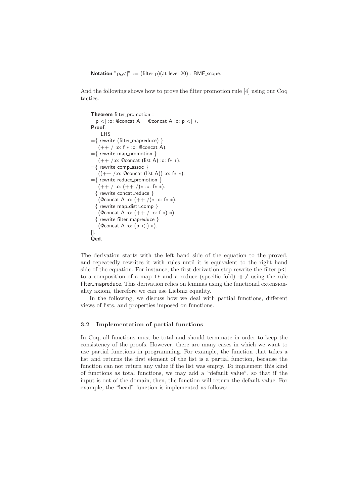**Notation** " $p \le |$ " := (filter p)(at level 20) : BMF scope.

And the following shows how to prove the filter promotion rule [4] using our Coq tactics.

```
Theorem filter_promotion :
 p < | :o: @concat A = @concat A :o: p < | *.
Proof.
    LHS
={ rewrite (filter_mapreduce) }
   (++) :o: f * :o: @concat A).
={ rewrite map promotion }
   (++ /:o: @concat (list A) :o: f∗ ∗).
=\{ rewrite comp_assoc \}((++ / :o: @concat (list A)) :o: f* *).={ rewrite reduce promotion }
   (++ / : \circ: (++ /) * : \circ: f * *).=\{ rewrite concat_reduce \}(@concat A :o: (++ /)∗ :o: f∗ ∗).
={ rewrite map_distr_comp }
   (@concat A :o: (++ / :o: f *) *).
={ rewrite filter_mapreduce }
   (Qconcat A :o: (p < |) *).
\prodQed.
```
The derivation starts with the left hand side of the equation to the proved, and repeatedly rewrites it with rules until it is equivalent to the right hand side of the equation. For instance, the first derivation step rewrite the filter  $p<|$ to a composition of a map  $f^*$  and a reduce (specific fold)  $+$  / using the rule filter\_mapreduce. This derivation relies on lemmas using the functional extensionality axiom, therefore we can use Liebniz equality.

In the following, we discuss how we deal with partial functions, different views of lists, and properties imposed on functions.

### 3.2 Implementation of partial functions

In Coq, all functions must be total and should terminate in order to keep the consistency of the proofs. However, there are many cases in which we want to use partial functions in programming. For example, the function that takes a list and returns the first element of the list is a partial function, because the function can not return any value if the list was empty. To implement this kind of functions as total functions, we may add a "default value", so that if the input is out of the domain, then, the function will return the default value. For example, the "head" function is implemented as follows: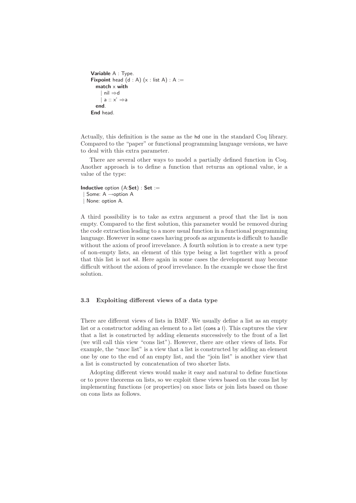```
Variable A : Type.
Fixpoint head (d : A) (x : list A) : A :=match \times with
     | nil ⇒d
     | a :: x' ⇒a
  end.
End head.
```
Actually, this definition is the same as the hd one in the standard Coq library. Compared to the "paper" or functional programming language versions, we have to deal with this extra parameter.

There are several other ways to model a partially defined function in Coq. Another approach is to define a function that returns an optional value, ie a value of the type:

Inductive option  $(A:Set): Set :=$ | Some: A →option A | None: option A.

A third possibility is to take as extra argument a proof that the list is non empty. Compared to the first solution, this parameter would be removed during the code extraction leading to a more usual function in a functional programming language. However in some cases having proofs as arguments is difficult to handle without the axiom of proof irrevelance. A fourth solution is to create a new type of non-empty lists, an element of this type being a list together with a proof that this list is not nil. Here again in some cases the development may become difficult without the axiom of proof irrevelance. In the example we chose the first solution.

### 3.3 Exploiting different views of a data type

There are different views of lists in BMF. We usually define a list as an empty list or a constructor adding an element to a list (cons a l). This captures the view that a list is constructed by adding elements successively to the front of a list (we will call this view "cons list"). However, there are other views of lists. For example, the "snoc list" is a view that a list is constructed by adding an element one by one to the end of an empty list, and the "join list" is another view that a list is constructed by concatenation of two shorter lists.

Adopting different views would make it easy and natural to define functions or to prove theorems on lists, so we exploit these views based on the cons list by implementing functions (or properties) on snoc lists or join lists based on those on cons lists as follows.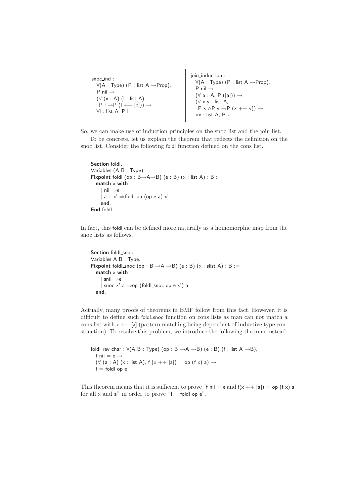```
snoc ind :
       ∀(A : Type) (P : list A →Prop),
       P nil →
       (∀ (x : A) (l : list A),
         \overrightarrow{P} \overrightarrow{P} \overrightarrow{P} \overrightarrow{P} \overrightarrow{P} \overrightarrow{P} \overrightarrow{P} \overrightarrow{P} \overrightarrow{P} \overrightarrow{P} \overrightarrow{P} \overrightarrow{P} \overrightarrow{P} \overrightarrow{P} \overrightarrow{P} \overrightarrow{P} \overrightarrow{P} \overrightarrow{P} \overrightarrow{P} \overrightarrow{P} \overrightarrow{P} \overrightarrow{P} \overrightarrow{P} \overrightarrow{P} \overrightarrow{∀l : list A, P l
                                                                                                                                            join induction :
                                                                                                                                                    ∀(A : Type) (P : list A → Prop),P \nmid \mathsf{nil} \rightarrow(\forall \, \, \text{a} \, : \, \mathsf{A}, \, \mathsf{P} \, \left( [\text{a}] \right)) \rightarrow(∀ x y : list A,
                                                                                                                                                      \overrightarrow{P} x \wedgeP y \rightarrowP (x + y)) \rightarrow∀x : list A, P x
```
So, we can make use of induction principles on the snoc list and the join list.

To be concrete, let us explain the theorem that reflects the definition on the snoc list. Consider the following foldl function defined on the cons list.

```
Section foldl.
Variables (A B : Type).
Fixpoint foldl (op : B \rightarrow A \rightarrow B) (e : B) (x : list A) : B :=
  match \times with
     | nil ⇒e
     | a :: x' \Rightarrow foldl op (op e a) x'
     end.
End foldl.
```
In fact, this foldl can be defined more naturally as a homomorphic map from the snoc lists as follows.

Section foldl\_snoc. Variables A B : Type. Fixpoint foldl\_snoc (op : B  $\rightarrow$  A  $\rightarrow$  B) (e : B) (x : slist A) : B := match  $\times$  with | snil ⇒e  $|$  snoc x' a  $\Rightarrow$ op (foldl\_snoc op e x') a end.

Actually, many proofs of theorems in BMF follow from this fact. However, it is difficult to define such foldl\_snoc function on cons lists as man can not match a cons list with  $x + \alpha$  [a] (pattern matching being dependent of inductive type construction). To resolve this problem, we introduce the following theorem instead:

```
foldl_rev_char: \forall (A \ B : Type) (op : B \rightarrow A \rightarrow B) (e : B) (f : list A \rightarrow B),
  f nil = e -(\forall (a : A) (x : list A), f (x ++ [a]) = op (f x) a) \rightarrowf = foldl op e
```
This theorem means that it is sufficient to prove "f nil = e and  $f(x + |f|) = op (f x)$  a for all  $\times$  and  $a''$  in order to prove "f = foldl op  $e$ ".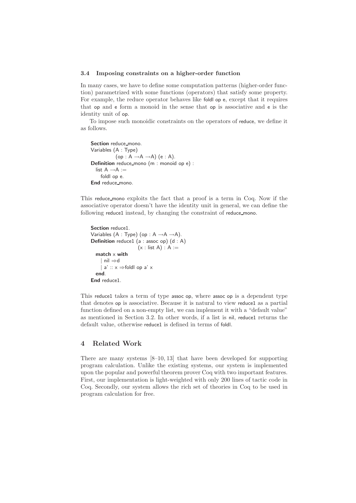#### 3.4 Imposing constraints on a higher-order function

In many cases, we have to define some computation patterns (higher-order function) parametrized with some functions (operators) that satisfy some property. For example, the reduce operator behaves like foldl op e, except that it requires that op and e form a monoid in the sense that op is associative and e is the identity unit of op.

To impose such monoidic constraints on the operators of reduce, we define it as follows.

```
Section reduce_mono.
Variables (A : Type)
            (op : A \rightarrow A \rightarrow A) (e : A).Definition reduce_mono (m : monoid op e) :
  list A \rightarrow A :=foldl op e.
End reduce_mono.
```
This reduce mono exploits the fact that a proof is a term in Coq. Now if the associative operator doesn't have the identity unit in general, we can define the following reduce1 instead, by changing the constraint of reduce mono.

```
Section reduce1.
Variables (A : Type) (op : A \rightarrow A \rightarrow A).
Definition reduce1 (a : assoc op) (d : A)
                       (x : list A) : A :=match \times with
     | nil ⇒d
     | a' :: x ⇒foldl op a' x
  end.
End reduce1.
```
This reduce1 takes a term of type assoc op, where assoc op is a dependent type that denotes op is associative. Because it is natural to view reduce1 as a partial function defined on a non-empty list, we can implement it with a "default value" as mentioned in Section 3.2. In other words, if a list is nil, reduce1 returns the default value, otherwise reduce1 is defined in terms of foldl.

## 4 Related Work

There are many systems [8–10, 13] that have been developed for supporting program calculation. Unlike the existing systems, our system is implemented upon the popular and powerful theorem prover Coq with two important features. First, our implementation is light-weighted with only 200 lines of tactic code in Coq. Secondly, our system allows the rich set of theories in Coq to be used in program calculation for free.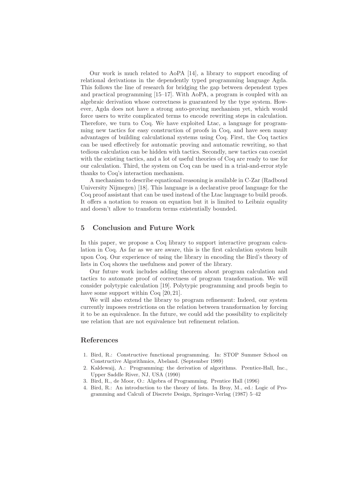Our work is much related to AoPA [14], a library to support encoding of relational derivations in the dependently typed programming language Agda. This follows the line of research for bridging the gap between dependent types and practical programming [15–17]. With AoPA, a program is coupled with an algebraic derivation whose correctness is guaranteed by the type system. However, Agda does not have a strong auto-proving mechanism yet, which would force users to write complicated terms to encode rewriting steps in calculation. Therefore, we turn to Coq. We have exploited Ltac, a language for programming new tactics for easy construction of proofs in Coq, and have seen many advantages of building calculational systems using Coq. First, the Coq tactics can be used effectively for automatic proving and automatic rewriting, so that tedious calculation can be hidden with tactics. Secondly, new tactics can coexist with the existing tactics, and a lot of useful theories of Coq are ready to use for our calculation. Third, the system on Coq can be used in a trial-and-error style thanks to Coq's interaction mechanism.

A mechanism to describe equational reasoning is available in C-Zar (Radboud University Nijmegen) [18]. This language is a declarative proof language for the Coq proof assistant that can be used instead of the Ltac language to build proofs. It offers a notation to reason on equation but it is limited to Leibniz equality and doesn't allow to transform terms existentially bounded.

### 5 Conclusion and Future Work

In this paper, we propose a Coq library to support interactive program calculation in Coq. As far as we are aware, this is the first calculation system built upon Coq. Our experience of using the library in encoding the Bird's theory of lists in Coq shows the usefulness and power of the library.

Our future work includes adding theorem about program calculation and tactics to automate proof of correctness of program transformation. We will consider polytypic calculation [19]. Polytypic programming and proofs begin to have some support within Coq [20, 21].

We will also extend the library to program refinement: Indeed, our system currently imposes restrictions on the relation between transformation by forcing it to be an equivalence. In the future, we could add the possibility to explicitely use relation that are not equivalence but refinement relation.

### References

- 1. Bird, R.: Constructive functional programming. In: STOP Summer School on Constructive Algorithmics, Abeland. (September 1989)
- 2. Kaldewaij, A.: Programming: the derivation of algorithms. Prentice-Hall, Inc., Upper Saddle River, NJ, USA (1990)
- 3. Bird, R., de Moor, O.: Algebra of Programming. Prentice Hall (1996)
- 4. Bird, R.: An introduction to the theory of lists. In Broy, M., ed.: Logic of Programming and Calculi of Discrete Design, Springer-Verlag (1987) 5–42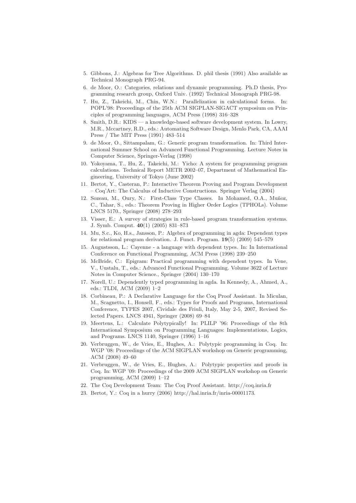- 5. Gibbons, J.: Algebras for Tree Algorithms. D. phil thesis (1991) Also available as Technical Monograph PRG-94.
- 6. de Moor, O.: Categories, relations and dynamic programming. Ph.D thesis, Programming research group, Oxford Univ. (1992) Technical Monograph PRG-98.
- 7. Hu, Z., Takeichi, M., Chin, W.N.: Parallelization in calculational forms. In: POPL'98: Proceedings of the 25th ACM SIGPLAN-SIGACT symposium on Principles of programming languages, ACM Press (1998) 316–328
- 8. Smith, D.R.: KIDS a knowledge-based software development system. In Lowry, M.R., Mccartney, R.D., eds.: Automating Software Design, Menlo Park, CA, AAAI Press / The MIT Press (1991) 483–514
- 9. de Moor, O., Sittampalam, G.: Generic program transformation. In: Third International Summer School on Advanced Functional Programming. Lecture Notes in Computer Science, Springer-Verlag (1998)
- 10. Yokoyama, T., Hu, Z., Takeichi, M.: Yicho: A system for programming program calculations. Technical Report METR 2002–07, Department of Mathematical Engineering, University of Tokyo (June 2002)
- 11. Bertot, Y., Casteran, P.: Interactive Theorem Proving and Program Development – Coq'Art: The Calculus of Inductive Constructions. Springer Verlag (2004)
- 12. Sozeau, M., Oury, N.: First-Class Type Classes. In Mohamed, O.A., Muñoz, C., Tahar, S., eds.: Theorem Proving in Higher Order Logics (TPHOLs). Volume LNCS 5170., Springer (2008) 278–293
- 13. Visser, E.: A survey of strategies in rule-based program transformation systems. J. Symb. Comput. 40(1) (2005) 831–873
- 14. Mu, S.c., Ko, H.s., Jansson, P.: Algebra of programming in agda: Dependent types for relational program derivation. J. Funct. Program. 19(5) (2009) 545–579
- 15. Augustsson, L.: Cayenne a language with dependent types. In: In International Conference on Functional Programming, ACM Press (1998) 239–250
- 16. McBride, C.: Epigram: Practical programming with dependent types. In Vene, V., Uustalu, T., eds.: Advanced Functional Programming. Volume 3622 of Lecture Notes in Computer Science., Springer (2004) 130–170
- 17. Norell, U.: Dependently typed programming in agda. In Kennedy, A., Ahmed, A., eds.: TLDI, ACM (2009) 1–2
- 18. Corbineau, P.: A Declarative Language for the Coq Proof Assistant. In Miculan, M., Scagnetto, I., Honsell, F., eds.: Types for Proofs and Programs, International Conference, TYPES 2007, Cividale des Friuli, Italy, May 2-5, 2007, Revised Selected Papers. LNCS 4941, Springer (2008) 69–84
- 19. Meertens, L.: Calculate Polytypically! In: PLILP '96: Proceedings of the 8th International Symposium on Programming Languages: Implementations, Logics, and Programs. LNCS 1140, Springer (1996) 1–16
- 20. Verbruggen, W., de Vries, E., Hughes, A.: Polytypic programming in Coq. In: WGP '08: Proceedings of the ACM SIGPLAN workshop on Generic programming, ACM (2008) 49–60
- 21. Verbruggen, W., de Vries, E., Hughes, A.: Polytypic properties and proofs in Coq. In: WGP '09: Proceedings of the 2009 ACM SIGPLAN workshop on Generic programming, ACM (2009) 1–12
- 22. The Coq Development Team: The Coq Proof Assistant. http://coq.inria.fr
- 23. Bertot, Y.: Coq in a hurry (2006) http://hal.inria.fr/inria-00001173.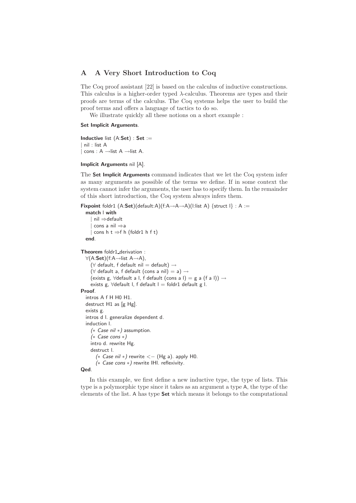## A A Very Short Introduction to Coq

The Coq proof assistant [22] is based on the calculus of inductive constructions. This calculus is a higher-order typed  $\lambda$ -calculus. Theorems are types and their proofs are terms of the calculus. The Coq systems helps the user to build the proof terms and offers a language of tactics to do so.

We illustrate quickly all these notions on a short example :

#### Set Implicit Arguments.

Inductive list (A:Set) : Set := | nil : list A | cons : A →list A →list A.

### Implicit Arguments nil [A].

The Set Implicit Arguments command indicates that we let the Coq system infer as many arguments as possible of the terms we define. If in some context the system cannot infer the arguments, the user has to specify them. In the remainder of this short introduction, the Coq system always infers them.

```
Fixpoint foldr1 (A:Set)(default:A)(f:A→A→A)(l:list A) {struct I} : A :=
```

```
match l with
```

```
| nil ⇒default
    | cons a nil ⇒a
    | cons h t ⇒f h (foldr1 h f t)
  end.
Theorem foldr1 derivation :
  ∀(A:Set)(f:A→list A→A),
    (\forall default, f default nil = default) \rightarrow(\forall default a, f default (cons a nil) = a) →
    (exists g, \foralldefault a l, f default (cons a l) = g a (f a l)) \rightarrowexists g, \foralldefault l, f default l = foldr1 default g l.
Proof
  intros A f H H0 H1.
  destruct H1 as [g Hg].
  exists g.
  intros d l. generalize dependent d.
  induction l.
    (∗ Case nil ∗) assumption.
    (∗ Case cons ∗)
    intro d. rewrite Hg.
    destruct l.
       (* Case nil *) rewrite <- (Hg a). apply H0.
       (∗ Case cons ∗) rewrite IHl. reflexivity.
```
### Qed.

In this example, we first define a new inductive type, the type of lists. This type is a polymorphic type since it takes as an argument a type A, the type of the elements of the list. A has type Set which means it belongs to the computational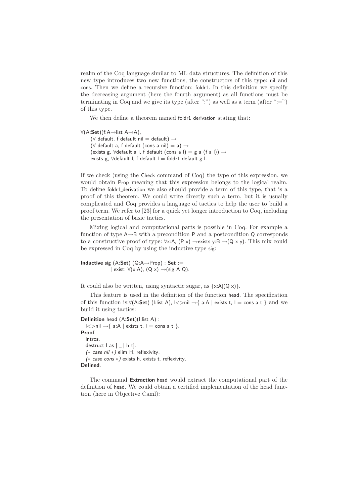realm of the Coq language similar to ML data structures. The definition of this new type introduces two new functions, the constructors of this type: nil and cons. Then we define a recursive function: foldr1. In this definition we specify the decreasing argument (here the fourth argument) as all functions must be terminating in Coq and we give its type (after ":") as well as a term (after " $:=$ ") of this type.

We then define a theorem named foldr1\_derivation stating that:

∀(A:Set)(f:A→list A→A), ( $\forall$  default, f default nil = default)  $\rightarrow$ ( $\forall$  default a, f default (cons a nil) = a)  $\rightarrow$ (exists g,  $\forall$ default a l, f default (cons a l) = g a (f a l))  $\rightarrow$ exists g,  $\forall$ default l, f default l = foldr1 default g l.

If we check (using the Check command of Coq) the type of this expression, we would obtain Prop meaning that this expression belongs to the logical realm. To define foldr1 derivation we also should provide a term of this type, that is a proof of this theorem. We could write directly such a term, but it is usually complicated and Coq provides a language of tactics to help the user to build a proof term. We refer to [23] for a quick yet longer introduction to Coq, including the presentation of basic tactics.

Mixing logical and computational parts is possible in Coq. For example a function of type  $A \rightarrow B$  with a precondition P and a postcondition Q corresponds to a constructive proof of type:  $\forall x:A$ ,  $(P \times) \rightarrow \exists x \in X \rightarrow (Q \times y)$ . This mix could be expressed in Coq by using the inductive type sig:

Inductive sig  $(A:Set)$   $(Q:A \rightarrow Prop)$  : Set := | exist:  $\forall$ (x:A), (Q x)  $\rightarrow$ (sig A Q).

It could also be written, using syntactic sugar, as  $\{x:A|(Q x)\}.$ 

This feature is used in the definition of the function head. The specification of this function is:∀(A:Set) (l:list A),  $\vert \langle \rangle$ nil →{ a:A | exists t, l = cons a t } and we build it using tactics:

```
Definition head (A:Set)(I:list A) :
  \textsf{I} \leq \textsf{Inil} \rightarrow \{\textsf{a}: \textsf{A} \mid \textsf{exists t}, \textsf{I} = \textsf{cons a t}\}.Proof.
  intros.
  destruct | as [- | h t].
  (∗ case nil ∗) elim H. reflexivity.
  (∗ case cons ∗) exists h. exists t. reflexivity.
Defined.
```
The command Extraction head would extract the computational part of the definition of head. We could obtain a certified implementation of the head function (here in Objective Caml):